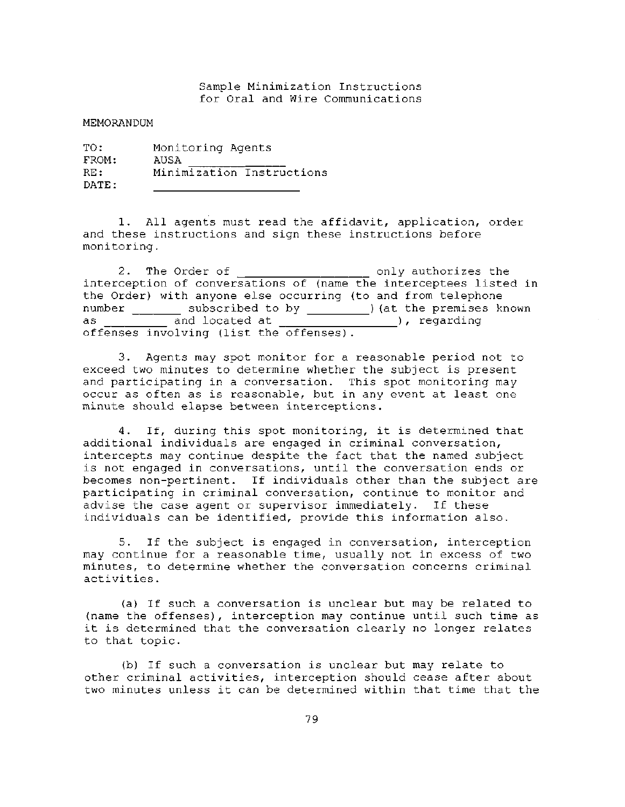## Sample Minimization Instructions for Oral and Wire Communications

## MEMORANDUM

TO: Monitoring Agents FROM: AUSA RE: Minimization Instructions DATE:

1. All agents must read the affidavit, application, order and these instructions and sign these instructions before monitoring.

2. The Order of <u>contained and performed</u> only authorizes the interception of conversations of (name the interceptees listed in the Order) with anyone else occurring (to and from telephone number \_\_\_\_\_\_\_\_ subscribed to by \_\_\_\_\_\_\_\_\_) (at the premises known as \_\_\_\_\_\_\_\_\_\_\_ and located at \_\_\_\_\_\_\_\_\_\_\_\_\_\_\_\_\_\_\_\_\_\_), regarding offenses involving (list the offenses).

3. Agents may spot monitor for a reasonable period not to exceed two minutes to determine whether the subject is present and participating in a conversation. This spot monitoring may occur as often as is reasonable, but in any event at least one minute should elapse between interceptions.

4. If, during this spot monitoring, it is determined that additional individuals are engaged in criminal conversation, intercepts may continue despite the fact that the named subject is not engaged in conversations, until the conversation ends or becomes non-pertinent. If individuals other than the subject are participating in criminal conversation, continue to monitor and advise the case agent or supervisor immediately. If these individuals can be identified, provide this information also.

5. If the subject is engaged in conversation, interception may continue for a reasonable time, usually not in excess of two minutes, to determine whether the conversation concerns criminal activities.

(a) If such a conversation is unclear but may be related to (name the offenses), interception may continue until such time as it is determined that the conversation clearly no longer relates to that topic.

(b) If such a conversation is unclear but may relate to other criminal activities, interception should cease after about two minutes unless it can be determined within that time that the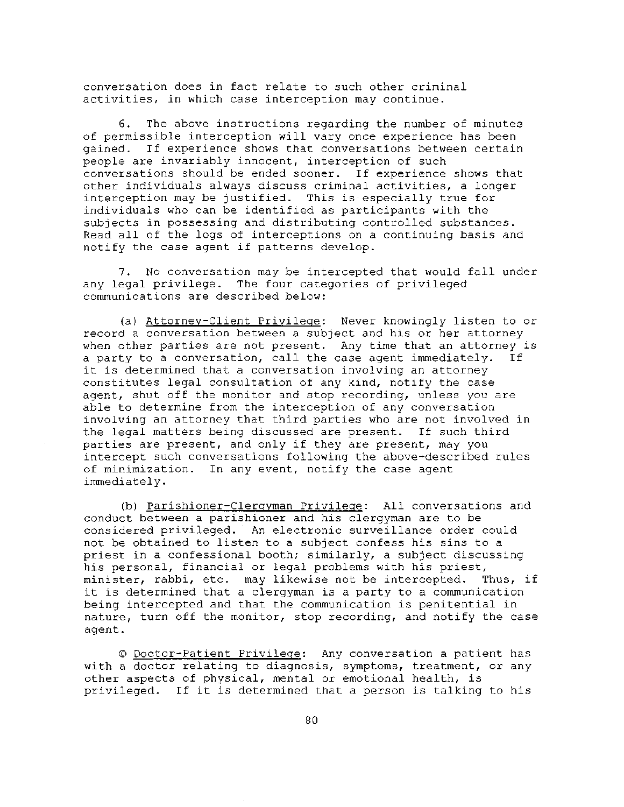conversation does in fact relate to such other criminal activities, in which case interception may continue.

6. The above instructions regarding the number of minutes of permissible interception will vary once experience has been gained. If experience shows that conversations between certain people are invariably innocent, interception of such conversations should be ended sooner. If experience shows that other individuals always discuss criminal activities, a longer interception may be justified. This is especially true for individuals who can be identified as participants with the subjects in possessing and distributing controlled substances. Read all of the logs of interceptions on a continuing basis and notify the case agent if patterns develop.

7. No conversation may be intercepted that would fall under any legal privilege. The four categories of privileged communications are described below:

(a) Attorney-Client Privilege: Never knowingly listen to or record a conversation between a subject and his or her attorney when other parties are not present. Any time that an attorney is a party to a conversation, call the case agent immediately. If it is determined that a conversation involving an attorney constitutes legal consultation of any kind, notify the case agent, shut off the monitor and stop recording, unless you are able to determine from the interception of any conversation involving an attorney that third parties who are not involved in the legal matters being discussed are present. If such third parties are present, and only if they are present, may you intercept such conversations following the above-described rules of minimization. In any event, notify the case agent immediately.

(b) Parishioner-Clergyman Privilege: All conversations and conduct between a parishioner and his clergyman are to be considered privileged. An electronic surveillance order could not be obtained to listen to a subject confess his sins to a priest in a confessional booth; similarly, a subject discussing his personal, financial or legal problems with his priest, minister, rabbi, etc. may likewise not be intercepted. Thus, if it is determined that a clergyman is a party to a communication being intercepted and that the communication is penitential in nature, turn off the monitor, stop recording, and notify the case agent.

© Doctor-Patient Privilege: Any conversation a patient has with a doctor relating to diagnosis, symptoms, treatment, or any other aspects of physical, mental or emotional health, is privileged. If it is determined that a person is talking to his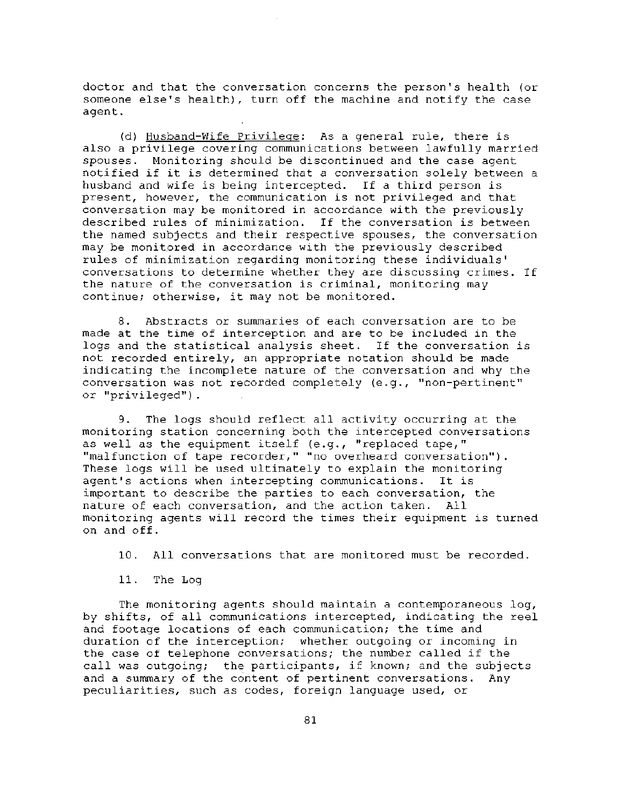doctor and that the conversation concerns the person's health (or someone else's health), turn off the machine and notify the case agent.

(d) Husband-Wife Privilege: As a general rule, there is also a privilege covering communications between lawfully married spouses. Monitoring should be discontinued and the case agent notified if it is determined that a conversation solely between a husband and wife is being intercepted. If a third person is present, however, the communication is not privileged and that conversation may be monitored in accordance with the previously described rules of minimization. If the conversation is between the named subjects and their respective spouses, the conversation may be monitored in accordance with the previously described rules of minimization regarding monitoring these individuals' conversations to determine whether they are discussing crimes. If the nature of the conversation is criminal, monitoring may continue; otherwise, it may not be monitored.

8. Abstracts or summaries of each conversation are to be made at the time of interception and are to be included in the logs and the statistical analysis sheet. If the conversation is not recorded entirely, an appropriate notation should be made indicating the incomplete nature of the conversation and why the conversation was not recorded completely (e.g., "non-pertinent" or "privileged").

9. The logs should reflect all activity occurring at the monitoring station concerning both the intercepted conversations as well as the equipment itself (e.g., "replaced tape," "malfunction of tape recorder," "no overheard conversation"). These logs will be used ultimately to explain the monitoring agent's actions when intercepting communications. It is important to describe the parties to each conversation, the nature of each conversation, and the action taken. All monitoring agents will record the times their equipment is turned on and off.

10. All conversations that are monitored must be recorded.

11. The Log

The monitoring agents should maintain a contemporaneous log, by shifts, of all communications intercepted, indicating the reel and footage locations of each communication; the time and duration of the interception; whether outgoing or incoming in the case of telephone conversations; the number called if the call was outgoing; the participants, if known; and the subjects and a summary of the content of pertinent conversations. Any peculiarities, such as codes, foreign language used, or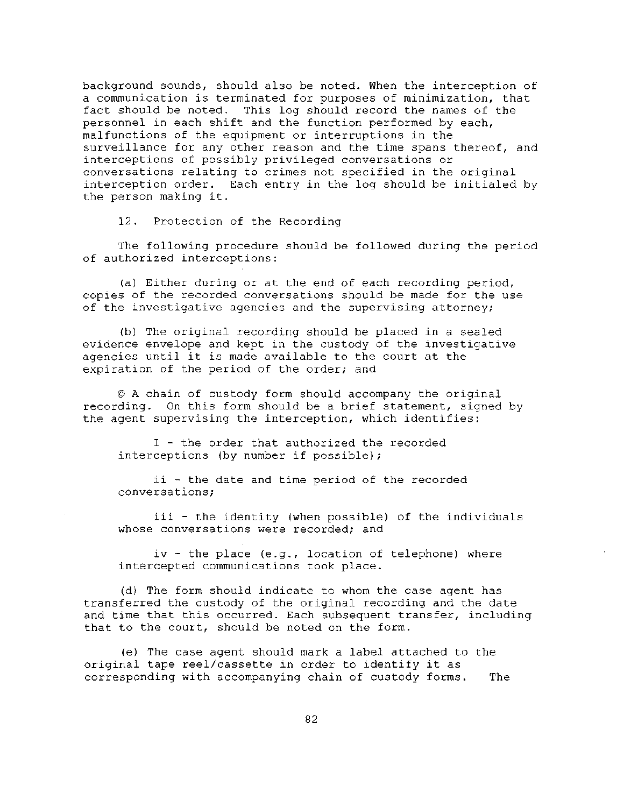background sounds, should also be noted. When the interception of a communication is terminated for purposes of minimization, that fact should be noted. This log should record the names of the personnel in each shift and the function performed by each, malfunctions of the equipment or interruptions in the surveillance for any other reason and the time spans thereof, and interceptions of possibly privileged conversations or conversations relating to crimes not specified in the original interception order. Each entry in the log should be initialed by the person making it.

12. Protection of the Recording

The following procedure should be followed during the period of authorized interceptions:

(a) Either during or at the end of each recording period, copies of the recorded conversations should be made for the use of the investigative agencies and the supervising attorney;

(b) The original recording should be placed in a sealed evidence envelope and kept in the custody of the investigative agencies until it is made available to the court at the expiration of the period of the order; and

© A chain of custody form should accompany the original recording. On this form should be a brief statement, signed by the agent supervising the interception, which identifies:

I - the order that authorized the recorded interceptions (by number if possible);

ii - the date and time period of the recorded conversations;

iii - the identity (when possible) of the individuals whose conversations were recorded; and

iv - the place (e.g., location of telephone) where intercepted communications took place.

(d) The form should indicate to whom the case agent has transferred the custody of the original recording and the date and time that this occurred. Each subsequent transfer, including that to the court, should be noted on the form.

(e) The case agent should mark a label attached to the original tape reel/cassette in order to identify it as corresponding with accompanying chain of custody forms. The